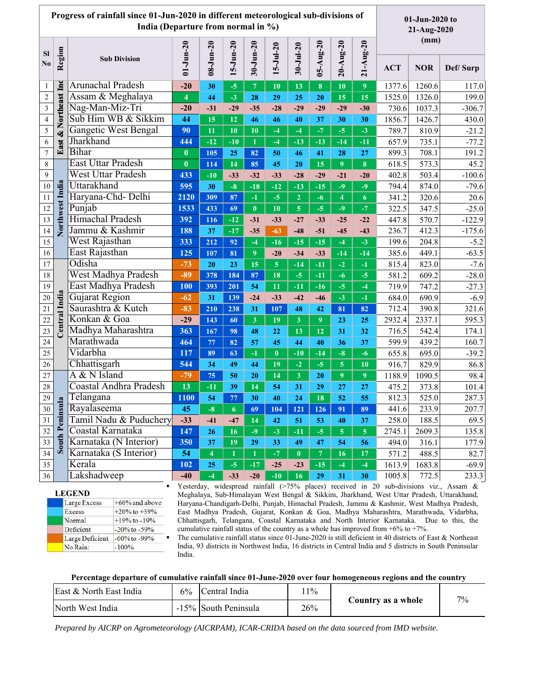| Progress of rainfall since 01-Jun-2020 in different meteorological sub-divisions of<br>India (Departure from normal in %) |                 |                             |                         |                         |                  |                         |                                |                         | 01-Jun-2020 to<br>21-Aug-2020 |                         |                      |            |            |          |
|---------------------------------------------------------------------------------------------------------------------------|-----------------|-----------------------------|-------------------------|-------------------------|------------------|-------------------------|--------------------------------|-------------------------|-------------------------------|-------------------------|----------------------|------------|------------|----------|
| <b>SI</b><br>$\bf No$                                                                                                     | Region          | <b>Sub Division</b>         | $01 - Jun - 20$         | $08 - Jun - 20$         | $15 - Jun - 20$  | $30 - Jun - 20$         | $15 - Ju - 20$                 | $30 - J$ ul-20          | $05 - \text{Aug-20}$          |                         | $21 - \text{Aug-20}$ | (mm)       |            |          |
|                                                                                                                           |                 |                             |                         |                         |                  |                         |                                |                         |                               | $20 - \text{Aug-20}$    |                      | <b>ACT</b> | <b>NOR</b> | Def/Surp |
| -1                                                                                                                        |                 | <b>Arunachal Pradesh</b>    | $-20$                   | 30                      | $-5$             | $\overline{7}$          | 10                             | 13                      | 8                             | 10                      | 9                    | 1377.6     | 1260.6     | 117.0    |
| $\sqrt{2}$                                                                                                                | & Northeast Inc | Assam & Meghalaya           | $\overline{\mathbf{4}}$ | 44                      | $-3$             | 28                      | 29                             | 25                      | 20                            | 15                      | 15                   | 1525.0     | 1326.0     | 199.0    |
| $\overline{\mathbf{3}}$                                                                                                   |                 | Nag-Man-Miz-Tri             | $-20$                   | $-31$                   | $-29$            | $-35$                   | $-28$                          | $-29$                   | $-29$                         | $-29$                   | $-30$                | 730.6      | 1037.3     | $-306.7$ |
| $\sqrt{4}$                                                                                                                |                 | Sub Him WB & Sikkim         | 44                      | 15                      | 12               | 46                      | 46                             | 40                      | 37                            | 30                      | 30                   | 1856.7     | 1426.7     | 430.0    |
| 5                                                                                                                         |                 | <b>Gangetic West Bengal</b> | 90                      | 11                      | 10               | 10                      | $-4$                           | $-4$                    | $-7$                          | $-5$                    | $-3$                 | 789.7      | 810.9      | $-21.2$  |
| 6                                                                                                                         | East            | Jharkhand                   | 444                     | $-12$                   | $-10$            | $\mathbf{1}$            | $-4$                           | $-13$                   | $-13$                         | $-14$                   | $-11$                | 657.9      | 735.1      | $-77.2$  |
| $\boldsymbol{7}$                                                                                                          |                 | <b>Bihar</b>                | $\boldsymbol{0}$        | 105                     | 25               | 82                      | 50                             | 46                      | 41                            | 28                      | 27                   | 899.3      | 708.1      | 191.2    |
| 8                                                                                                                         |                 | <b>East Uttar Pradesh</b>   | $\bf{0}$                | 114                     | 14               | 85                      | 45                             | 20                      | 15                            | 9                       | 8                    | 618.5      | 573.3      | 45.2     |
| 9                                                                                                                         |                 | <b>West Uttar Pradesh</b>   | 433                     | $-10$                   | $-33$            | $-32$                   | $-33$                          | $-28$                   | $-29$                         | $-21$                   | $-20$                | 402.8      | 503.4      | $-100.6$ |
| 10                                                                                                                        | Northwest India | Uttarakhand                 | 595                     | 30                      | $-8$             | $-18$                   | $-12$                          | $-13$                   | $-15$                         | $-9$                    | $-9$                 | 794.4      | 874.0      | $-79.6$  |
| 11                                                                                                                        |                 | Haryana-Chd- Delhi          | 2120                    | 309                     | 87               | $-1$                    | $-5$                           | $\overline{2}$          | $-6$                          | $\overline{\mathbf{4}}$ | 6                    | 341.2      | 320.6      | 20.6     |
| 12                                                                                                                        |                 | Punjab                      | 1533                    | 433                     | 69               | $\bf{0}$                | 10                             | $\overline{\mathbf{5}}$ | $-5$                          | $-9$                    | $-7$                 | 322.5      | 347.5      | $-25.0$  |
| 13                                                                                                                        |                 | Himachal Pradesh            | 392                     | 116                     | $-12$            | $-31$                   | $-33$                          | $-27$                   | $-33$                         | $-25$                   | $-22$                | 447.8      | 570.7      | $-122.9$ |
| 14                                                                                                                        |                 | Jammu & Kashmir             | 188                     | 37                      | $-17$            | $-35$                   | $-63$                          | $-48$                   | $-51$                         | $-45$                   | $-43$                | 236.7      | 412.3      | $-175.6$ |
| 15                                                                                                                        |                 | West Rajasthan              | 333                     | 212                     | 92               | $-4$                    | $-16$                          | $-15$                   | $-15$                         | $-4$                    | $-3$                 | 199.6      | 204.8      | $-5.2$   |
| 16                                                                                                                        |                 | East Rajasthan              | 125                     | 107                     | 81               | $\overline{9}$          | $-20$                          | $-34$                   | $-33$                         | $-14$                   | $-14$                | 385.6      | 449.1      | $-63.5$  |
| 17                                                                                                                        |                 | Odisha                      | $-73$                   | 20                      | 23               | 15                      | 5 <sup>5</sup>                 | $-14$                   | $-11$                         | $-2$                    | $-1$                 | 815.4      | 823.0      | $-7.6$   |
| 18                                                                                                                        |                 | West Madhya Pradesh         | $-89$                   | 378                     | 184              | 87                      | 18                             | $-5$                    | $-11$                         | $-6$                    | $-5$                 | 581.2      | 609.2      | $-28.0$  |
| 19                                                                                                                        |                 | East Madhya Pradesh         | 100                     | 393                     | 201              | 54                      | 11                             | $-11$                   | $-16$                         | $-5$                    | $-4$                 | 719.9      | 747.2      | $-27.3$  |
| 20                                                                                                                        | Central India   | Gujarat Region              | $-62$                   | 31                      | 139              | $-24$                   | $-33$                          | $-42$                   | $-46$                         | $-3$                    | $-1$                 | 684.0      | 690.9      | $-6.9$   |
| $21\,$                                                                                                                    |                 | Saurashtra & Kutch          | $-83$                   | 210                     | 238              | 31                      | 107                            | 48                      | 42                            | 81                      | 82                   | 712.4      | 390.8      | 321.6    |
| 22                                                                                                                        |                 | Konkan & Goa                | $-29$                   | 143                     | 60               | $\overline{\mathbf{3}}$ | 19                             | $\mathbf{3}$            | 9 <sup>°</sup>                | 23                      | 25                   | 2932.4     | 2337.1     | 595.3    |
| 23                                                                                                                        |                 | Madhya Maharashtra          | 363                     | 167                     | 98               | 48                      | 22                             | 13                      | 12                            | 31                      | 32                   | 716.5      | 542.4      | 174.1    |
| 24                                                                                                                        |                 | Marathwada                  | 464                     | 77                      | 82               | 57                      | 45                             | 44                      | 40                            | 36                      | 37                   | 599.9      | 439.2      | 160.7    |
| 25                                                                                                                        |                 | Vidarbha                    | 117                     | 89                      | 63               | $-1$                    | $\bf{0}$                       | $-10$                   | $-14$                         | $-8$                    | $-6$                 | 655.8      | 695.0      | $-39.2$  |
| 26                                                                                                                        |                 | Chhattisgarh                | 544                     | 34                      | 49               | 44                      | 19                             | $-2$                    | $-5$                          | 5 <sup>1</sup>          | 10                   | 916.7      | 829.9      | 86.8     |
| $27\,$                                                                                                                    |                 | A & N Island                | $-79$                   | 75                      | 50               | 20                      | 14                             | $\mathbf{3}$            | 20                            | $\overline{9}$          | $\overline{9}$       | 1188.9     | 1090.5     | 98.4     |
| 28                                                                                                                        |                 | Coastal Andhra Pradesh      | 13                      | $-11$                   | 39               | 14                      | 54                             | 31                      | 29                            | 27                      | 27                   | 475.2      | 373.8      | 101.4    |
| 29                                                                                                                        | $\blacksquare$  | Telangana                   | 1100                    | 54                      | 77               | 30                      | 40                             | 24                      | 18                            | 52                      | 55                   | 812.3      | 525.0      | 287.3    |
| $30\,$                                                                                                                    | uth Peninsu     | Rayalaseema                 | 45                      | $-8$                    | $\boldsymbol{6}$ | 69                      | 104                            | 121                     | 126                           | 91                      | 89                   | 441.6      | 233.9      | 207.7    |
| 31                                                                                                                        |                 | Tamil Nadu & Puduchery      | $-33$                   | $-41$                   | $-47$            | 14                      | 42                             | 51                      | 53                            | 40                      | 37                   | 258.0      | 188.5      | 69.5     |
| 32                                                                                                                        |                 | Coastal Karnataka           | 147                     | 26                      | 16               | $-9$                    | $-3$                           | $-11$                   | $-5$                          | 5 <sub>1</sub>          | $\overline{5}$       | 2745.1     | 2609.3     | 135.8    |
| 33                                                                                                                        |                 | Karnataka (N Interior)      | 350                     | 37                      | 19               | 29                      | 33                             | 49                      | 47                            | 54                      | 56                   | 494.0      | 316.1      | 177.9    |
| 34                                                                                                                        | $\mathbf{S}$    | Karnataka (S Interior)      | 54                      | $\overline{\mathbf{4}}$ | $\mathbf{1}$     | $\mathbf{1}$            | $\textcolor{red}{\textbf{-7}}$ | $\mathbf{0}$            | $\overline{7}$                | 16                      | $17\,$               | 571.2      | 488.5      | 82.7     |
| 35                                                                                                                        |                 | Kerala                      | 102                     | 25                      | $-5$             | $-17$                   | $-25$                          | $-23$                   | $-15$                         | $-4$                    | $-4$                 | 1613.9     | 1683.8     | $-69.9$  |
| 36                                                                                                                        |                 | Lakshadweep                 | $-40$                   | $-4$                    | $-33$            | $-20$                   | $-10$                          | <b>16</b>               | 29                            | 31                      | 30                   | 1005.8     | 772.5      | 233.3    |

| <b>LEGEND</b>   |                    |
|-----------------|--------------------|
| Large Excess    | $+60\%$ and above  |
| Excess          | $+20\%$ to $+59\%$ |
| Normal          | $+19%$ to $-19%$   |
| Deficient       | $-20\%$ to $-59\%$ |
| Large Deficient | $-60\%$ to $-99\%$ |
| No Rain:        | $-100%$            |

Yesterday, widespread rainfall (>75% places) received in 20 sub-divisions viz., Assam & Meghalaya, Sub-Himalayan West Bengal & Sikkim, Jharkhand, West Uttar Pradesh, Uttarakhand, Haryana-Chandigarh-Delhi, Punjab, Himachal Pradesh, Jammu & Kashmir, West Madhya Pradesh, East Madhya Pradesh, Gujarat, Konkan & Goa, Madhya Maharashtra, Marathwada, Vidarbha, Chhattisgarh, Telangana, Coastal Karnataka and North Interior Karnataka. Due to this, the cumulative rainfall status of the country as a whole has improved from  $+6\%$  to  $+7\%$ .

 The cumulative rainfall status since 01-June-2020 is still deficient in 40 districts of East & Northeast India, 93 districts in Northwest India, 16 districts in Central India and 5 districts in South Peninsular India.

## **Percentage departure of cumulative rainfall since 01-June-2020 over four homogeneous regions and the country**

| East & North East India<br>$6\%$ |  | Central India        | $11\%$ |                    | 7% |
|----------------------------------|--|----------------------|--------|--------------------|----|
| North West India                 |  | -15% South Peninsula | 26%    | Country as a whole |    |

*Prepared by AICRP on Agrometeorology (AICRPAM), ICAR-CRIDA based on the data sourced from IMD website.*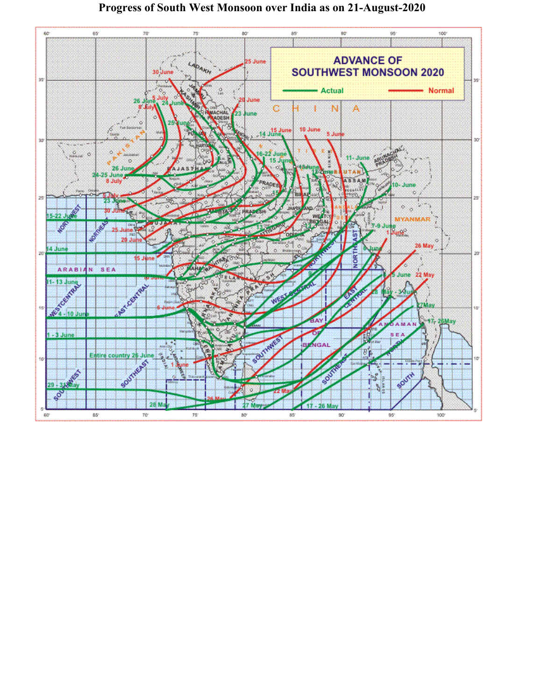

## **Progress of South West Monsoon over India as on 21-August-2020**